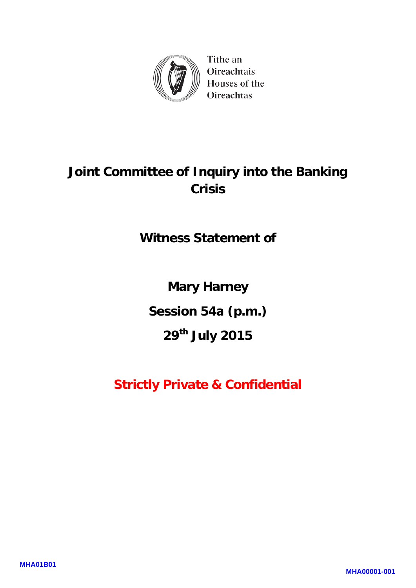

Tithe an Oireachtais Houses of the Oireachtas

# **Joint Committee of Inquiry into the Banking Crisis**

**Witness Statement of** 

**Mary Harney** 

**Session 54a (p.m.)** 

**29th July 2015**

**Strictly Private & Confidential**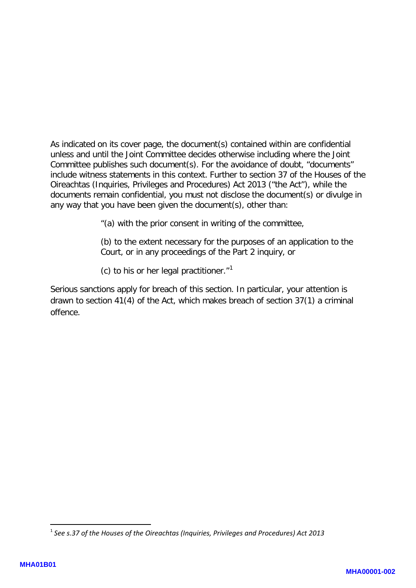As indicated on its cover page, the document(s) contained within are confidential unless and until the Joint Committee decides otherwise including where the Joint Committee publishes such document(s). For the avoidance of doubt, "documents" include witness statements in this context. Further to section 37 of the Houses of the Oireachtas (Inquiries, Privileges and Procedures) Act 2013 ("the Act"), while the documents remain confidential, you must not disclose the document(s) or divulge in any way that you have been given the document(s), other than:

"(a) with the prior consent in writing of the committee,

(b) to the extent necessary for the purposes of an application to the Court, or in any proceedings of the Part 2 inquiry, or

(c) to his or her legal practitioner. $"$ <sup>[1](#page-1-0)</sup>

Serious sanctions apply for breach of this section. In particular, your attention is drawn to section 41(4) of the Act, which makes breach of section 37(1) a criminal offence.

**.** 

<span id="page-1-0"></span><sup>1</sup> *See s.37 of the Houses of the Oireachtas (Inquiries, Privileges and Procedures) Act 2013*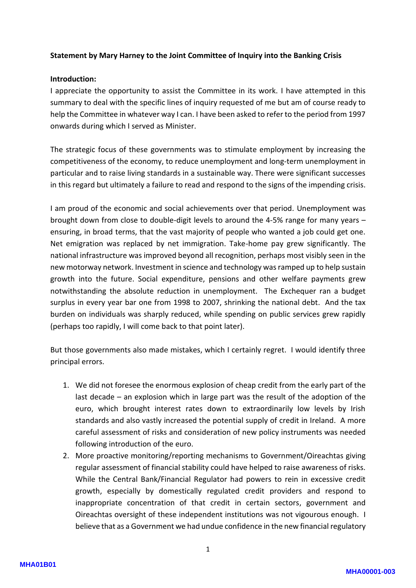#### **Statement by Mary Harney to the Joint Committee of Inquiry into the Banking Crisis**

#### **Introduction:**

I appreciate the opportunity to assist the Committee in its work. I have attempted in this summary to deal with the specific lines of inquiry requested of me but am of course ready to help the Committee in whatever way I can. I have been asked to refer to the period from 1997 onwards during which I served as Minister.

The strategic focus of these governments was to stimulate employment by increasing the competitiveness of the economy, to reduce unemployment and long-term unemployment in particular and to raise living standards in a sustainable way. There were significant successes in this regard but ultimately a failure to read and respond to the signs of the impending crisis.

I am proud of the economic and social achievements over that period. Unemployment was brought down from close to double-digit levels to around the 4-5% range for many years – ensuring, in broad terms, that the vast majority of people who wanted a job could get one. Net emigration was replaced by net immigration. Take-home pay grew significantly. The national infrastructure was improved beyond all recognition, perhaps most visibly seen in the new motorway network. Investment in science and technology was ramped up to help sustain growth into the future. Social expenditure, pensions and other welfare payments grew notwithstanding the absolute reduction in unemployment. The Exchequer ran a budget surplus in every year bar one from 1998 to 2007, shrinking the national debt. And the tax burden on individuals was sharply reduced, while spending on public services grew rapidly (perhaps too rapidly, I will come back to that point later).

But those governments also made mistakes, which I certainly regret. I would identify three principal errors.

- 1. We did not foresee the enormous explosion of cheap credit from the early part of the last decade – an explosion which in large part was the result of the adoption of the euro, which brought interest rates down to extraordinarily low levels by Irish standards and also vastly increased the potential supply of credit in Ireland. A more careful assessment of risks and consideration of new policy instruments was needed following introduction of the euro.
- 2. More proactive monitoring/reporting mechanisms to Government/Oireachtas giving regular assessment of financial stability could have helped to raise awareness of risks. While the Central Bank/Financial Regulator had powers to rein in excessive credit growth, especially by domestically regulated credit providers and respond to inappropriate concentration of that credit in certain sectors, government and Oireachtas oversight of these independent institutions was not vigourous enough. I believe that as a Government we had undue confidence in the new financial regulatory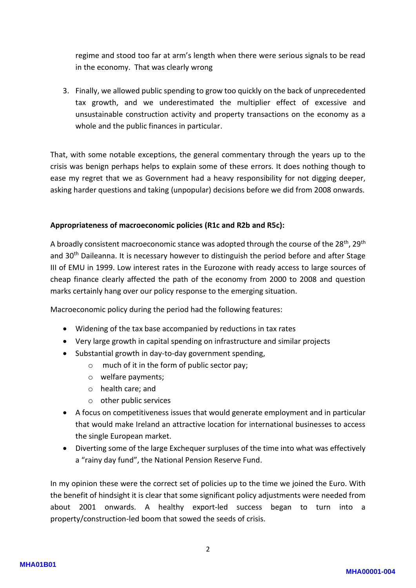regime and stood too far at arm's length when there were serious signals to be read in the economy. That was clearly wrong

3. Finally, we allowed public spending to grow too quickly on the back of unprecedented tax growth, and we underestimated the multiplier effect of excessive and unsustainable construction activity and property transactions on the economy as a whole and the public finances in particular.

That, with some notable exceptions, the general commentary through the years up to the crisis was benign perhaps helps to explain some of these errors. It does nothing though to ease my regret that we as Government had a heavy responsibility for not digging deeper, asking harder questions and taking (unpopular) decisions before we did from 2008 onwards.

## **Appropriateness of macroeconomic policies (R1c and R2b and R5c):**

A broadly consistent macroeconomic stance was adopted through the course of the  $28^{th}$ ,  $29^{th}$ and 30<sup>th</sup> Daileanna. It is necessary however to distinguish the period before and after Stage III of EMU in 1999. Low interest rates in the Eurozone with ready access to large sources of cheap finance clearly affected the path of the economy from 2000 to 2008 and question marks certainly hang over our policy response to the emerging situation.

Macroeconomic policy during the period had the following features:

- Widening of the tax base accompanied by reductions in tax rates
- Very large growth in capital spending on infrastructure and similar projects
- Substantial growth in day-to-day government spending,
	- o much of it in the form of public sector pay;
		- o welfare payments;
		- o health care; and
		- o other public services
- A focus on competitiveness issues that would generate employment and in particular that would make Ireland an attractive location for international businesses to access the single European market.
- Diverting some of the large Exchequer surpluses of the time into what was effectively a "rainy day fund", the National Pension Reserve Fund.

In my opinion these were the correct set of policies up to the time we joined the Euro. With the benefit of hindsight it is clear that some significant policy adjustments were needed from about 2001 onwards. A healthy export-led success began to turn into a property/construction-led boom that sowed the seeds of crisis.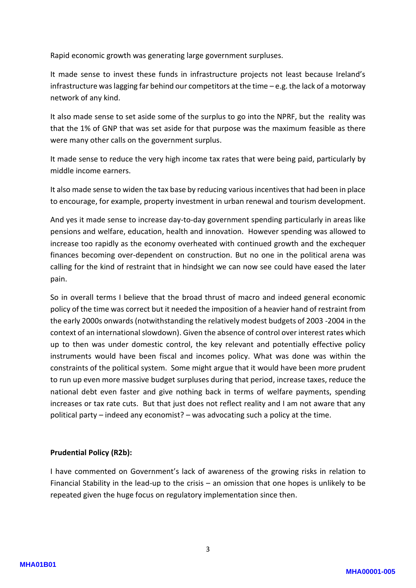Rapid economic growth was generating large government surpluses.

It made sense to invest these funds in infrastructure projects not least because Ireland's infrastructure was lagging far behind our competitors at the time – e.g. the lack of a motorway network of any kind.

It also made sense to set aside some of the surplus to go into the NPRF, but the reality was that the 1% of GNP that was set aside for that purpose was the maximum feasible as there were many other calls on the government surplus.

It made sense to reduce the very high income tax rates that were being paid, particularly by middle income earners.

It also made sense to widen the tax base by reducing various incentives that had been in place to encourage, for example, property investment in urban renewal and tourism development.

And yes it made sense to increase day-to-day government spending particularly in areas like pensions and welfare, education, health and innovation. However spending was allowed to increase too rapidly as the economy overheated with continued growth and the exchequer finances becoming over-dependent on construction. But no one in the political arena was calling for the kind of restraint that in hindsight we can now see could have eased the later pain.

So in overall terms I believe that the broad thrust of macro and indeed general economic policy of the time was correct but it needed the imposition of a heavier hand of restraint from the early 2000s onwards (notwithstanding the relatively modest budgets of 2003 -2004 in the context of an international slowdown). Given the absence of control over interest rates which up to then was under domestic control, the key relevant and potentially effective policy instruments would have been fiscal and incomes policy. What was done was within the constraints of the political system. Some might argue that it would have been more prudent to run up even more massive budget surpluses during that period, increase taxes, reduce the national debt even faster and give nothing back in terms of welfare payments, spending increases or tax rate cuts. But that just does not reflect reality and I am not aware that any political party – indeed any economist? – was advocating such a policy at the time.

## **Prudential Policy (R2b):**

I have commented on Government's lack of awareness of the growing risks in relation to Financial Stability in the lead-up to the crisis – an omission that one hopes is unlikely to be repeated given the huge focus on regulatory implementation since then.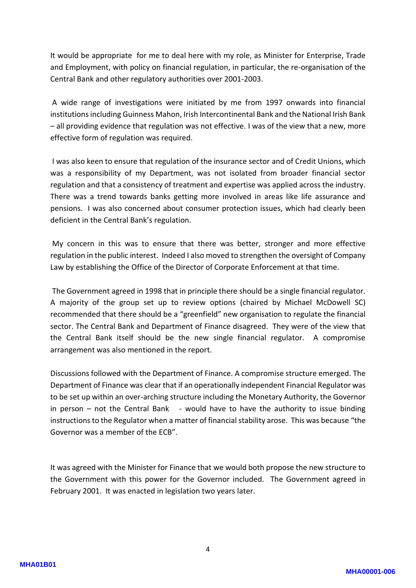It would be appropriate for me to deal here with my role, as Minister for Enterprise, Trade and Employment, with policy on financial regulation, in particular, the re-organisation of the Central Bank and other regulatory authorities over 2001-2003.

A wide range of investigations were initiated by me from 1997 onwards into financial institutions including Guinness Mahon, Irish Intercontinental Bank and the National Irish Bank – all providing evidence that regulation was not effective. I was of the view that a new, more effective form of regulation was required.

I was also keen to ensure that regulation of the insurance sector and of Credit Unions, which was a responsibility of my Department, was not isolated from broader financial sector regulation and that a consistency of treatment and expertise was applied across the industry. There was a trend towards banks getting more involved in areas like life assurance and pensions. I was also concerned about consumer protection issues, which had clearly been deficient in the Central Bank's regulation.

My concern in this was to ensure that there was better, stronger and more effective regulation in the public interest. Indeed I also moved to strengthen the oversight of Company Law by establishing the Office of the Director of Corporate Enforcement at that time.

The Government agreed in 1998 that in principle there should be a single financial regulator. A majority of the group set up to review options (chaired by Michael McDowell SC) recommended that there should be a "greenfield" new organisation to regulate the financial sector. The Central Bank and Department of Finance disagreed. They were of the view that the Central Bank itself should be the new single financial regulator. A compromise arrangement was also mentioned in the report.

Discussions followed with the Department of Finance. A compromise structure emerged. The Department of Finance was clear that if an operationally independent Financial Regulator was to be set up within an over-arching structure including the Monetary Authority, the Governor in person – not the Central Bank  $-$  would have to have the authority to issue binding instructions to the Regulator when a matter of financial stability arose. This was because "the Governor was a member of the ECB".

It was agreed with the Minister for Finance that we would both propose the new structure to the Government with this power for the Governor included. The Government agreed in February 2001. It was enacted in legislation two years later.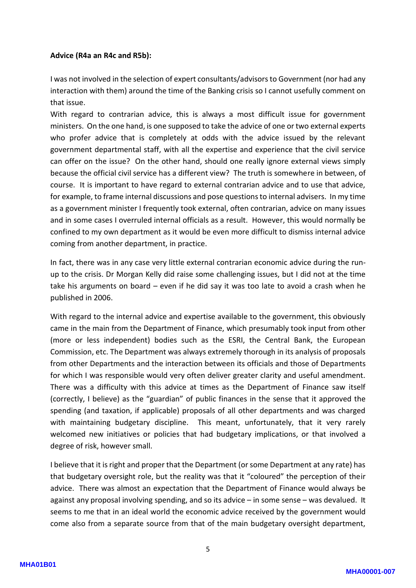#### **Advice (R4a an R4c and R5b):**

I was not involved in the selection of expert consultants/advisors to Government (nor had any interaction with them) around the time of the Banking crisis so I cannot usefully comment on that issue.

With regard to contrarian advice, this is always a most difficult issue for government ministers. On the one hand, is one supposed to take the advice of one or two external experts who profer advice that is completely at odds with the advice issued by the relevant government departmental staff, with all the expertise and experience that the civil service can offer on the issue? On the other hand, should one really ignore external views simply because the official civil service has a different view? The truth is somewhere in between, of course. It is important to have regard to external contrarian advice and to use that advice, for example, to frame internal discussions and pose questions to internal advisers. In my time as a government minister I frequently took external, often contrarian, advice on many issues and in some cases I overruled internal officials as a result. However, this would normally be confined to my own department as it would be even more difficult to dismiss internal advice coming from another department, in practice.

In fact, there was in any case very little external contrarian economic advice during the runup to the crisis. Dr Morgan Kelly did raise some challenging issues, but I did not at the time take his arguments on board – even if he did say it was too late to avoid a crash when he published in 2006.

With regard to the internal advice and expertise available to the government, this obviously came in the main from the Department of Finance, which presumably took input from other (more or less independent) bodies such as the ESRI, the Central Bank, the European Commission, etc. The Department was always extremely thorough in its analysis of proposals from other Departments and the interaction between its officials and those of Departments for which I was responsible would very often deliver greater clarity and useful amendment. There was a difficulty with this advice at times as the Department of Finance saw itself (correctly, I believe) as the "guardian" of public finances in the sense that it approved the spending (and taxation, if applicable) proposals of all other departments and was charged with maintaining budgetary discipline. This meant, unfortunately, that it very rarely welcomed new initiatives or policies that had budgetary implications, or that involved a degree of risk, however small.

I believe that it is right and proper that the Department (or some Department at any rate) has that budgetary oversight role, but the reality was that it "coloured" the perception of their advice. There was almost an expectation that the Department of Finance would always be against any proposal involving spending, and so its advice – in some sense – was devalued. It seems to me that in an ideal world the economic advice received by the government would come also from a separate source from that of the main budgetary oversight department,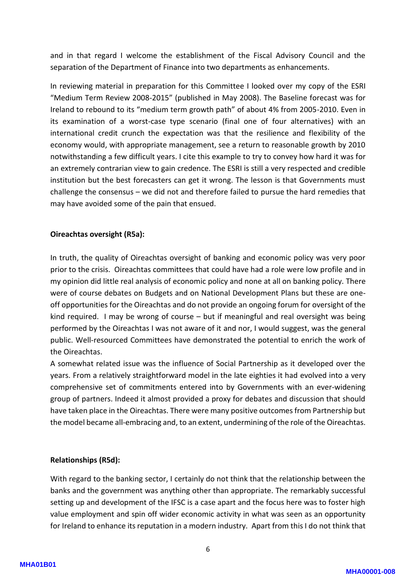and in that regard I welcome the establishment of the Fiscal Advisory Council and the separation of the Department of Finance into two departments as enhancements.

In reviewing material in preparation for this Committee I looked over my copy of the ESRI "Medium Term Review 2008-2015" (published in May 2008). The Baseline forecast was for Ireland to rebound to its "medium term growth path" of about 4% from 2005-2010. Even in its examination of a worst-case type scenario (final one of four alternatives) with an international credit crunch the expectation was that the resilience and flexibility of the economy would, with appropriate management, see a return to reasonable growth by 2010 notwithstanding a few difficult years. I cite this example to try to convey how hard it was for an extremely contrarian view to gain credence. The ESRI is still a very respected and credible institution but the best forecasters can get it wrong. The lesson is that Governments must challenge the consensus – we did not and therefore failed to pursue the hard remedies that may have avoided some of the pain that ensued.

# **Oireachtas oversight (R5a):**

In truth, the quality of Oireachtas oversight of banking and economic policy was very poor prior to the crisis. Oireachtas committees that could have had a role were low profile and in my opinion did little real analysis of economic policy and none at all on banking policy. There were of course debates on Budgets and on National Development Plans but these are oneoff opportunities for the Oireachtas and do not provide an ongoing forum for oversight of the kind required. I may be wrong of course – but if meaningful and real oversight was being performed by the Oireachtas I was not aware of it and nor, I would suggest, was the general public. Well-resourced Committees have demonstrated the potential to enrich the work of the Oireachtas.

A somewhat related issue was the influence of Social Partnership as it developed over the years. From a relatively straightforward model in the late eighties it had evolved into a very comprehensive set of commitments entered into by Governments with an ever-widening group of partners. Indeed it almost provided a proxy for debates and discussion that should have taken place in the Oireachtas. There were many positive outcomes from Partnership but the model became all-embracing and, to an extent, undermining of the role of the Oireachtas.

## **Relationships (R5d):**

With regard to the banking sector, I certainly do not think that the relationship between the banks and the government was anything other than appropriate. The remarkably successful setting up and development of the IFSC is a case apart and the focus here was to foster high value employment and spin off wider economic activity in what was seen as an opportunity for Ireland to enhance its reputation in a modern industry. Apart from this I do not think that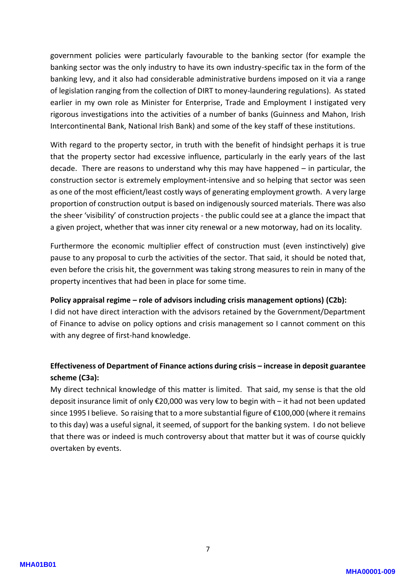government policies were particularly favourable to the banking sector (for example the banking sector was the only industry to have its own industry-specific tax in the form of the banking levy, and it also had considerable administrative burdens imposed on it via a range of legislation ranging from the collection of DIRT to money-laundering regulations). As stated earlier in my own role as Minister for Enterprise, Trade and Employment I instigated very rigorous investigations into the activities of a number of banks (Guinness and Mahon, Irish Intercontinental Bank, National Irish Bank) and some of the key staff of these institutions.

With regard to the property sector, in truth with the benefit of hindsight perhaps it is true that the property sector had excessive influence, particularly in the early years of the last decade. There are reasons to understand why this may have happened – in particular, the construction sector is extremely employment-intensive and so helping that sector was seen as one of the most efficient/least costly ways of generating employment growth. A very large proportion of construction output is based on indigenously sourced materials. There was also the sheer 'visibility' of construction projects - the public could see at a glance the impact that a given project, whether that was inner city renewal or a new motorway, had on its locality.

Furthermore the economic multiplier effect of construction must (even instinctively) give pause to any proposal to curb the activities of the sector. That said, it should be noted that, even before the crisis hit, the government was taking strong measures to rein in many of the property incentives that had been in place for some time.

## **Policy appraisal regime – role of advisors including crisis management options) (C2b):**

I did not have direct interaction with the advisors retained by the Government/Department of Finance to advise on policy options and crisis management so I cannot comment on this with any degree of first-hand knowledge.

# **Effectiveness of Department of Finance actions during crisis – increase in deposit guarantee scheme (C3a):**

My direct technical knowledge of this matter is limited. That said, my sense is that the old deposit insurance limit of only €20,000 was very low to begin with – it had not been updated since 1995 I believe. So raising that to a more substantial figure of €100,000 (where it remains to this day) was a useful signal, it seemed, of support for the banking system. I do not believe that there was or indeed is much controversy about that matter but it was of course quickly overtaken by events.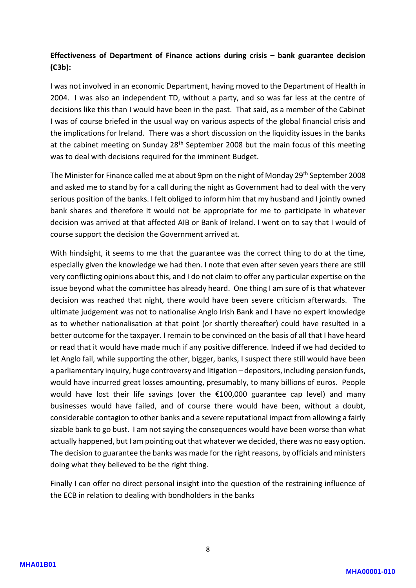# **Effectiveness of Department of Finance actions during crisis – bank guarantee decision (C3b):**

I was not involved in an economic Department, having moved to the Department of Health in 2004. I was also an independent TD, without a party, and so was far less at the centre of decisions like this than I would have been in the past. That said, as a member of the Cabinet I was of course briefed in the usual way on various aspects of the global financial crisis and the implications for Ireland. There was a short discussion on the liquidity issues in the banks at the cabinet meeting on Sunday 28<sup>th</sup> September 2008 but the main focus of this meeting was to deal with decisions required for the imminent Budget.

The Minister for Finance called me at about 9pm on the night of Monday 29<sup>th</sup> September 2008 and asked me to stand by for a call during the night as Government had to deal with the very serious position of the banks. I felt obliged to inform him that my husband and I jointly owned bank shares and therefore it would not be appropriate for me to participate in whatever decision was arrived at that affected AIB or Bank of Ireland. I went on to say that I would of course support the decision the Government arrived at.

With hindsight, it seems to me that the guarantee was the correct thing to do at the time, especially given the knowledge we had then. I note that even after seven years there are still very conflicting opinions about this, and I do not claim to offer any particular expertise on the issue beyond what the committee has already heard. One thing I am sure of is that whatever decision was reached that night, there would have been severe criticism afterwards. The ultimate judgement was not to nationalise Anglo Irish Bank and I have no expert knowledge as to whether nationalisation at that point (or shortly thereafter) could have resulted in a better outcome for the taxpayer. I remain to be convinced on the basis of all that I have heard or read that it would have made much if any positive difference. Indeed if we had decided to let Anglo fail, while supporting the other, bigger, banks, I suspect there still would have been a parliamentary inquiry, huge controversy and litigation – depositors, including pension funds, would have incurred great losses amounting, presumably, to many billions of euros. People would have lost their life savings (over the €100,000 guarantee cap level) and many businesses would have failed, and of course there would have been, without a doubt, considerable contagion to other banks and a severe reputational impact from allowing a fairly sizable bank to go bust. I am not saying the consequences would have been worse than what actually happened, but I am pointing out that whatever we decided, there was no easy option. The decision to guarantee the banks was made for the right reasons, by officials and ministers doing what they believed to be the right thing.

Finally I can offer no direct personal insight into the question of the restraining influence of the ECB in relation to dealing with bondholders in the banks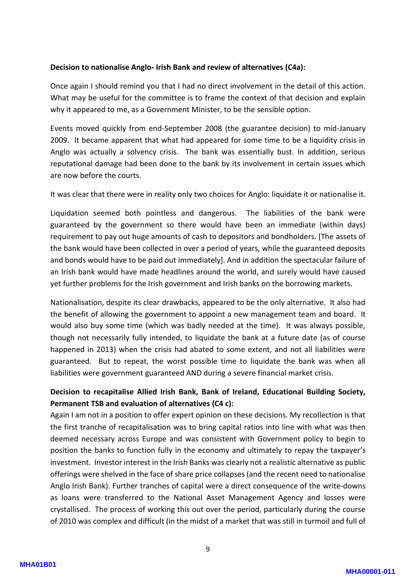## **Decision to nationalise Anglo- Irish Bank and review of alternatives (C4a):**

Once again I should remind you that I had no direct involvement in the detail of this action. What may be useful for the committee is to frame the context of that decision and explain why it appeared to me, as a Government Minister, to be the sensible option.

Events moved quickly from end-September 2008 (the guarantee decision) to mid-January 2009. It became apparent that what had appeared for some time to be a liquidity crisis in Anglo was actually a solvency crisis. The bank was essentially bust. In addition, serious reputational damage had been done to the bank by its involvement in certain issues which are now before the courts.

It was clear that there were in reality only two choices for Anglo: liquidate it or nationalise it.

Liquidation seemed both pointless and dangerous. The liabilities of the bank were guaranteed by the government so there would have been an immediate (within days) requirement to pay out huge amounts of cash to depositors and bondholders. [The assets of the bank would have been collected in over a period of years, while the guaranteed deposits and bonds would have to be paid out immediately]. And in addition the spectacular failure of an Irish bank would have made headlines around the world, and surely would have caused yet further problems for the Irish government and Irish banks on the borrowing markets.

Nationalisation, despite its clear drawbacks, appeared to be the only alternative. It also had the benefit of allowing the government to appoint a new management team and board. It would also buy some time (which was badly needed at the time). It was always possible, though not necessarily fully intended, to liquidate the bank at a future date (as of course happened in 2013) when the crisis had abated to some extent, and not all liabilities were guaranteed. But to repeat, the worst possible time to liquidate the bank was when all liabilities were government guaranteed AND during a severe financial market crisis.

# **Decision to recapitalise Allied Irish Bank, Bank of Ireland, Educational Building Society, Permanent TSB and evaluation of alternatives (C4 c):**

Again I am not in a position to offer expert opinion on these decisions. My recollection is that the first tranche of recapitalisation was to bring capital ratios into line with what was then deemed necessary across Europe and was consistent with Government policy to begin to position the banks to function fully in the economy and ultimately to repay the taxpayer's investment. Investor interest in the Irish Banks was clearly not a realistic alternative as public offerings were shelved in the face of share price collapses (and the recent need to nationalise Anglo Irish Bank). Further tranches of capital were a direct consequence of the write-downs as loans were transferred to the National Asset Management Agency and losses were crystallised. The process of working this out over the period, particularly during the course of 2010 was complex and difficult (in the midst of a market that was still in turmoil and full of